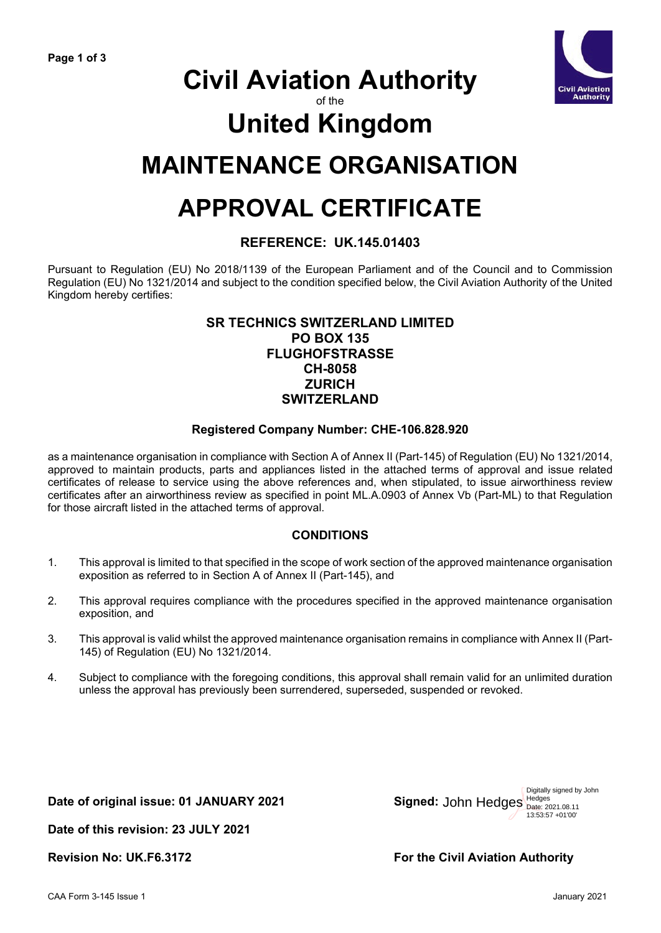

# **Civil Aviation Authority**

of the

# **United Kingdom**

## **MAINTENANCE ORGANISATION**

# **APPROVAL CERTIFICATE**

### **REFERENCE: UK.145.01403**

Pursuant to Regulation (EU) No 2018/1139 of the European Parliament and of the Council and to Commission Regulation (EU) No 1321/2014 and subject to the condition specified below, the Civil Aviation Authority of the United Kingdom hereby certifies:

### **SR TECHNICS SWITZERLAND LIMITED PO BOX 135 FLUGHOFSTRASSE CH-8058 ZURICH SWITZERLAND**

### **Registered Company Number: CHE-106.828.920**

as a maintenance organisation in compliance with Section A of Annex II (Part-145) of Regulation (EU) No 1321/2014, approved to maintain products, parts and appliances listed in the attached terms of approval and issue related certificates of release to service using the above references and, when stipulated, to issue airworthiness review certificates after an airworthiness review as specified in point ML.A.0903 of Annex Vb (Part-ML) to that Regulation for those aircraft listed in the attached terms of approval.

### **CONDITIONS**

- 1. This approval is limited to that specified in the scope of work section of the approved maintenance organisation exposition as referred to in Section A of Annex II (Part-145), and
- 2. This approval requires compliance with the procedures specified in the approved maintenance organisation exposition, and
- 3. This approval is valid whilst the approved maintenance organisation remains in compliance with Annex II (Part-145) of Regulation (EU) No 1321/2014.
- 4. Subject to compliance with the foregoing conditions, this approval shall remain valid for an unlimited duration unless the approval has previously been surrendered, superseded, suspended or revoked.

**Date of original issue: 01 JANUARY 2021** 

John Hedges **Hedges** Digitally signed by John 13:53:57 +01'00'

**Date of this revision: 23 JULY 2021**

**Revision No: UK.F6.3172 For the Civil Aviation Authority**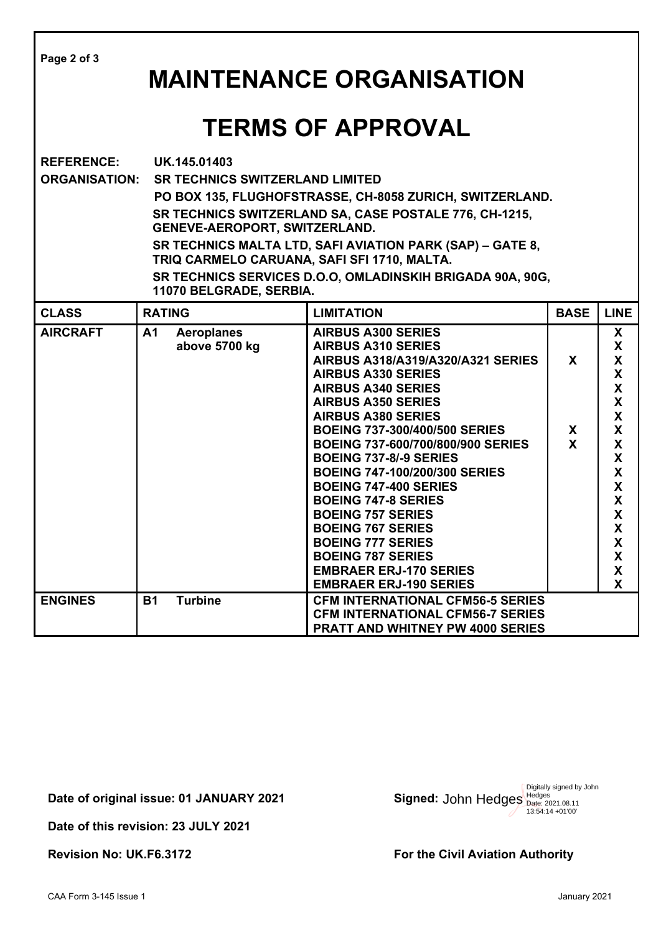| Page 2 of 3<br><b>MAINTENANCE ORGANISATION</b> |                                                                                                                                                                                                                                                                                                                                                                                                                   |                                    |                                                                                                                                                                                                                                                                                                                                                                                                                                                                                                                                                                                                                       |                        |                                                                                                           |  |  |  |
|------------------------------------------------|-------------------------------------------------------------------------------------------------------------------------------------------------------------------------------------------------------------------------------------------------------------------------------------------------------------------------------------------------------------------------------------------------------------------|------------------------------------|-----------------------------------------------------------------------------------------------------------------------------------------------------------------------------------------------------------------------------------------------------------------------------------------------------------------------------------------------------------------------------------------------------------------------------------------------------------------------------------------------------------------------------------------------------------------------------------------------------------------------|------------------------|-----------------------------------------------------------------------------------------------------------|--|--|--|
| <b>TERMS OF APPROVAL</b>                       |                                                                                                                                                                                                                                                                                                                                                                                                                   |                                    |                                                                                                                                                                                                                                                                                                                                                                                                                                                                                                                                                                                                                       |                        |                                                                                                           |  |  |  |
| <b>REFERENCE:</b><br><b>ORGANISATION:</b>      | UK.145.01403<br><b>SR TECHNICS SWITZERLAND LIMITED</b><br>PO BOX 135, FLUGHOFSTRASSE, CH-8058 ZURICH, SWITZERLAND.<br>SR TECHNICS SWITZERLAND SA, CASE POSTALE 776, CH-1215,<br>GENEVE-AEROPORT, SWITZERLAND.<br>SR TECHNICS MALTA LTD, SAFI AVIATION PARK (SAP) - GATE 8,<br>TRIQ CARMELO CARUANA, SAFI SFI 1710, MALTA.<br>SR TECHNICS SERVICES D.O.O, OMLADINSKIH BRIGADA 90A, 90G,<br>11070 BELGRADE, SERBIA. |                                    |                                                                                                                                                                                                                                                                                                                                                                                                                                                                                                                                                                                                                       |                        |                                                                                                           |  |  |  |
| <b>CLASS</b>                                   | <b>RATING</b>                                                                                                                                                                                                                                                                                                                                                                                                     |                                    | <b>LIMITATION</b>                                                                                                                                                                                                                                                                                                                                                                                                                                                                                                                                                                                                     | <b>BASE</b>            | <b>LINE</b>                                                                                               |  |  |  |
| <b>AIRCRAFT</b>                                | A <sub>1</sub>                                                                                                                                                                                                                                                                                                                                                                                                    | <b>Aeroplanes</b><br>above 5700 kg | <b>AIRBUS A300 SERIES</b><br><b>AIRBUS A310 SERIES</b><br>AIRBUS A318/A319/A320/A321 SERIES<br><b>AIRBUS A330 SERIES</b><br><b>AIRBUS A340 SERIES</b><br><b>AIRBUS A350 SERIES</b><br><b>AIRBUS A380 SERIES</b><br><b>BOEING 737-300/400/500 SERIES</b><br>BOEING 737-600/700/800/900 SERIES<br><b>BOEING 737-8/-9 SERIES</b><br><b>BOEING 747-100/200/300 SERIES</b><br><b>BOEING 747-400 SERIES</b><br><b>BOEING 747-8 SERIES</b><br><b>BOEING 757 SERIES</b><br><b>BOEING 767 SERIES</b><br><b>BOEING 777 SERIES</b><br><b>BOEING 787 SERIES</b><br><b>EMBRAER ERJ-170 SERIES</b><br><b>EMBRAER ERJ-190 SERIES</b> | X<br>X<br>$\mathbf{x}$ | <b>X</b><br>X<br>X<br>X<br>X<br>X<br>X<br>X<br>X<br>X<br>X<br>X<br>X<br>X<br><b>X</b><br>X<br>X<br>X<br>X |  |  |  |
| <b>ENGINES</b>                                 | <b>B1</b>                                                                                                                                                                                                                                                                                                                                                                                                         | <b>Turbine</b>                     | <b>CFM INTERNATIONAL CFM56-5 SERIES</b><br><b>CFM INTERNATIONAL CFM56-7 SERIES</b><br><b>PRATT AND WHITNEY PW 4000 SERIES</b>                                                                                                                                                                                                                                                                                                                                                                                                                                                                                         |                        |                                                                                                           |  |  |  |

Date of original issue: 01 JANUARY 2021

**Date of this revision: 23 JULY 2021** 

John Hedges Digitally signed by John Hedges Date: 2021.08.11 13:54:14 +01'00'

Revision No: UK.F6.3172 **For the Civil Aviation Authority**